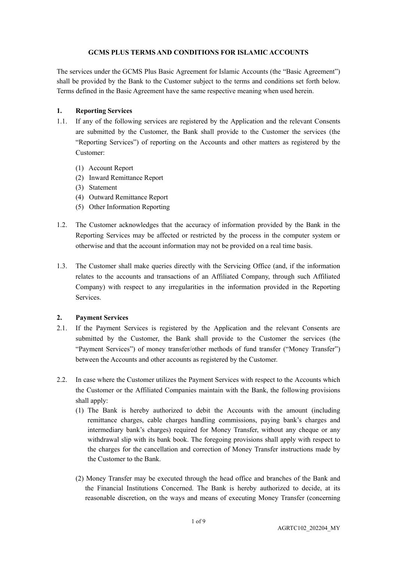### **GCMS PLUS TERMS AND CONDITIONS FOR ISLAMIC ACCOUNTS**

The services under the GCMS Plus Basic Agreement for Islamic Accounts (the "Basic Agreement") shall be provided by the Bank to the Customer subject to the terms and conditions set forth below. Terms defined in the Basic Agreement have the same respective meaning when used herein.

### **1. Reporting Services**

- 1.1. If any of the following services are registered by the Application and the relevant Consents are submitted by the Customer, the Bank shall provide to the Customer the services (the "Reporting Services") of reporting on the Accounts and other matters as registered by the Customer:
	- (1) Account Report
	- (2) Inward Remittance Report
	- (3) Statement
	- (4) Outward Remittance Report
	- (5) Other Information Reporting
- 1.2. The Customer acknowledges that the accuracy of information provided by the Bank in the Reporting Services may be affected or restricted by the process in the computer system or otherwise and that the account information may not be provided on a real time basis.
- 1.3. The Customer shall make queries directly with the Servicing Office (and, if the information relates to the accounts and transactions of an Affiliated Company, through such Affiliated Company) with respect to any irregularities in the information provided in the Reporting Services.

# **2. Payment Services**

- 2.1. If the Payment Services is registered by the Application and the relevant Consents are submitted by the Customer, the Bank shall provide to the Customer the services (the "Payment Services") of money transfer/other methods of fund transfer ("Money Transfer") between the Accounts and other accounts as registered by the Customer.
- 2.2. In case where the Customer utilizes the Payment Services with respect to the Accounts which the Customer or the Affiliated Companies maintain with the Bank, the following provisions shall apply:
	- (1) The Bank is hereby authorized to debit the Accounts with the amount (including remittance charges, cable charges handling commissions, paying bank's charges and intermediary bank's charges) required for Money Transfer, without any cheque or any withdrawal slip with its bank book. The foregoing provisions shall apply with respect to the charges for the cancellation and correction of Money Transfer instructions made by the Customer to the Bank.
	- (2) Money Transfer may be executed through the head office and branches of the Bank and the Financial Institutions Concerned. The Bank is hereby authorized to decide, at its reasonable discretion, on the ways and means of executing Money Transfer (concerning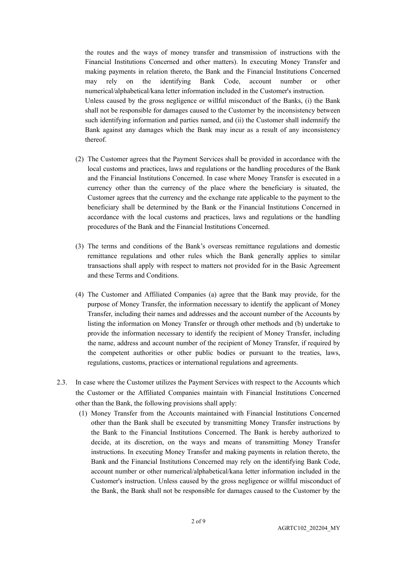the routes and the ways of money transfer and transmission of instructions with the Financial Institutions Concerned and other matters). In executing Money Transfer and making payments in relation thereto, the Bank and the Financial Institutions Concerned may rely on the identifying Bank Code, account number or other numerical/alphabetical/kana letter information included in the Customer's instruction. Unless caused by the gross negligence or willful misconduct of the Banks, (i) the Bank shall not be responsible for damages caused to the Customer by the inconsistency between such identifying information and parties named, and (ii) the Customer shall indemnify the Bank against any damages which the Bank may incur as a result of any inconsistency thereof.

- (2) The Customer agrees that the Payment Services shall be provided in accordance with the local customs and practices, laws and regulations or the handling procedures of the Bank and the Financial Institutions Concerned. In case where Money Transfer is executed in a currency other than the currency of the place where the beneficiary is situated, the Customer agrees that the currency and the exchange rate applicable to the payment to the beneficiary shall be determined by the Bank or the Financial Institutions Concerned in accordance with the local customs and practices, laws and regulations or the handling procedures of the Bank and the Financial Institutions Concerned.
- (3) The terms and conditions of the Bank's overseas remittance regulations and domestic remittance regulations and other rules which the Bank generally applies to similar transactions shall apply with respect to matters not provided for in the Basic Agreement and these Terms and Conditions.
- (4) The Customer and Affiliated Companies (a) agree that the Bank may provide, for the purpose of Money Transfer, the information necessary to identify the applicant of Money Transfer, including their names and addresses and the account number of the Accounts by listing the information on Money Transfer or through other methods and (b) undertake to provide the information necessary to identify the recipient of Money Transfer, including the name, address and account number of the recipient of Money Transfer, if required by the competent authorities or other public bodies or pursuant to the treaties, laws, regulations, customs, practices or international regulations and agreements.
- 2.3. In case where the Customer utilizes the Payment Services with respect to the Accounts which the Customer or the Affiliated Companies maintain with Financial Institutions Concerned other than the Bank, the following provisions shall apply:
	- (1) Money Transfer from the Accounts maintained with Financial Institutions Concerned other than the Bank shall be executed by transmitting Money Transfer instructions by the Bank to the Financial Institutions Concerned. The Bank is hereby authorized to decide, at its discretion, on the ways and means of transmitting Money Transfer instructions. In executing Money Transfer and making payments in relation thereto, the Bank and the Financial Institutions Concerned may rely on the identifying Bank Code, account number or other numerical/alphabetical/kana letter information included in the Customer's instruction. Unless caused by the gross negligence or willful misconduct of the Bank, the Bank shall not be responsible for damages caused to the Customer by the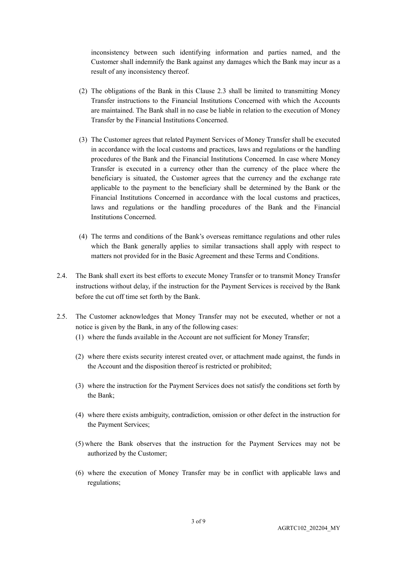inconsistency between such identifying information and parties named, and the Customer shall indemnify the Bank against any damages which the Bank may incur as a result of any inconsistency thereof.

- (2) The obligations of the Bank in this Clause 2.3 shall be limited to transmitting Money Transfer instructions to the Financial Institutions Concerned with which the Accounts are maintained. The Bank shall in no case be liable in relation to the execution of Money Transfer by the Financial Institutions Concerned.
- (3) The Customer agrees that related Payment Services of Money Transfer shall be executed in accordance with the local customs and practices, laws and regulations or the handling procedures of the Bank and the Financial Institutions Concerned. In case where Money Transfer is executed in a currency other than the currency of the place where the beneficiary is situated, the Customer agrees that the currency and the exchange rate applicable to the payment to the beneficiary shall be determined by the Bank or the Financial Institutions Concerned in accordance with the local customs and practices, laws and regulations or the handling procedures of the Bank and the Financial Institutions Concerned.
- (4) The terms and conditions of the Bank's overseas remittance regulations and other rules which the Bank generally applies to similar transactions shall apply with respect to matters not provided for in the Basic Agreement and these Terms and Conditions.
- 2.4. The Bank shall exert its best efforts to execute Money Transfer or to transmit Money Transfer instructions without delay, if the instruction for the Payment Services is received by the Bank before the cut off time set forth by the Bank.
- 2.5. The Customer acknowledges that Money Transfer may not be executed, whether or not a notice is given by the Bank, in any of the following cases:
	- (1) where the funds available in the Account are not sufficient for Money Transfer;
	- (2) where there exists security interest created over, or attachment made against, the funds in the Account and the disposition thereof is restricted or prohibited;
	- (3) where the instruction for the Payment Services does not satisfy the conditions set forth by the Bank;
	- (4) where there exists ambiguity, contradiction, omission or other defect in the instruction for the Payment Services;
	- (5) where the Bank observes that the instruction for the Payment Services may not be authorized by the Customer;
	- (6) where the execution of Money Transfer may be in conflict with applicable laws and regulations;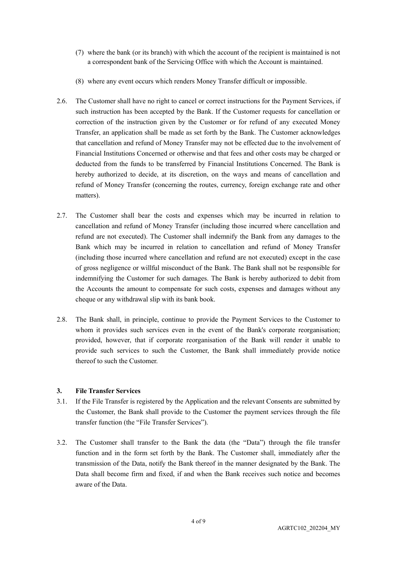- (7) where the bank (or its branch) with which the account of the recipient is maintained is not a correspondent bank of the Servicing Office with which the Account is maintained.
- (8) where any event occurs which renders Money Transfer difficult or impossible.
- 2.6. The Customer shall have no right to cancel or correct instructions for the Payment Services, if such instruction has been accepted by the Bank. If the Customer requests for cancellation or correction of the instruction given by the Customer or for refund of any executed Money Transfer, an application shall be made as set forth by the Bank. The Customer acknowledges that cancellation and refund of Money Transfer may not be effected due to the involvement of Financial Institutions Concerned or otherwise and that fees and other costs may be charged or deducted from the funds to be transferred by Financial Institutions Concerned. The Bank is hereby authorized to decide, at its discretion, on the ways and means of cancellation and refund of Money Transfer (concerning the routes, currency, foreign exchange rate and other matters).
- 2.7. The Customer shall bear the costs and expenses which may be incurred in relation to cancellation and refund of Money Transfer (including those incurred where cancellation and refund are not executed). The Customer shall indemnify the Bank from any damages to the Bank which may be incurred in relation to cancellation and refund of Money Transfer (including those incurred where cancellation and refund are not executed) except in the case of gross negligence or willful misconduct of the Bank. The Bank shall not be responsible for indemnifying the Customer for such damages. The Bank is hereby authorized to debit from the Accounts the amount to compensate for such costs, expenses and damages without any cheque or any withdrawal slip with its bank book.
- 2.8. The Bank shall, in principle, continue to provide the Payment Services to the Customer to whom it provides such services even in the event of the Bank's corporate reorganisation; provided, however, that if corporate reorganisation of the Bank will render it unable to provide such services to such the Customer, the Bank shall immediately provide notice thereof to such the Customer.

# **3. File Transfer Services**

- 3.1. If the File Transfer is registered by the Application and the relevant Consents are submitted by the Customer, the Bank shall provide to the Customer the payment services through the file transfer function (the "File Transfer Services").
- 3.2. The Customer shall transfer to the Bank the data (the "Data") through the file transfer function and in the form set forth by the Bank. The Customer shall, immediately after the transmission of the Data, notify the Bank thereof in the manner designated by the Bank. The Data shall become firm and fixed, if and when the Bank receives such notice and becomes aware of the Data.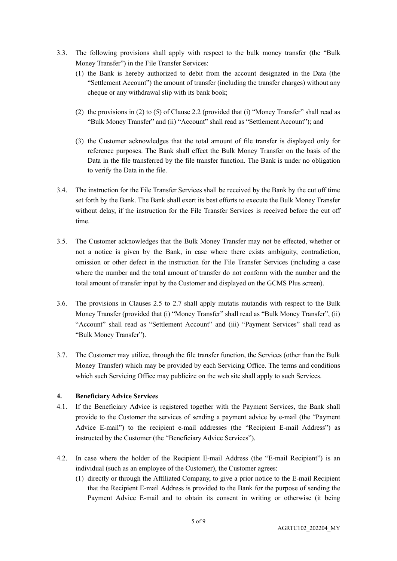- 3.3. The following provisions shall apply with respect to the bulk money transfer (the "Bulk Money Transfer") in the File Transfer Services:
	- (1) the Bank is hereby authorized to debit from the account designated in the Data (the "Settlement Account") the amount of transfer (including the transfer charges) without any cheque or any withdrawal slip with its bank book;
	- (2) the provisions in (2) to (5) of Clause 2.2 (provided that (i) "Money Transfer" shall read as "Bulk Money Transfer" and (ii) "Account" shall read as "Settlement Account"); and
	- (3) the Customer acknowledges that the total amount of file transfer is displayed only for reference purposes. The Bank shall effect the Bulk Money Transfer on the basis of the Data in the file transferred by the file transfer function. The Bank is under no obligation to verify the Data in the file.
- 3.4. The instruction for the File Transfer Services shall be received by the Bank by the cut off time set forth by the Bank. The Bank shall exert its best efforts to execute the Bulk Money Transfer without delay, if the instruction for the File Transfer Services is received before the cut off time.
- 3.5. The Customer acknowledges that the Bulk Money Transfer may not be effected, whether or not a notice is given by the Bank, in case where there exists ambiguity, contradiction, omission or other defect in the instruction for the File Transfer Services (including a case where the number and the total amount of transfer do not conform with the number and the total amount of transfer input by the Customer and displayed on the GCMS Plus screen).
- 3.6. The provisions in Clauses 2.5 to 2.7 shall apply mutatis mutandis with respect to the Bulk Money Transfer (provided that (i) "Money Transfer" shall read as "Bulk Money Transfer", (ii) "Account" shall read as "Settlement Account" and (iii) "Payment Services" shall read as "Bulk Money Transfer").
- 3.7. The Customer may utilize, through the file transfer function, the Services (other than the Bulk Money Transfer) which may be provided by each Servicing Office. The terms and conditions which such Servicing Office may publicize on the web site shall apply to such Services.

# **4. Beneficiary Advice Services**

- 4.1. If the Beneficiary Advice is registered together with the Payment Services, the Bank shall provide to the Customer the services of sending a payment advice by e-mail (the "Payment Advice E-mail") to the recipient e-mail addresses (the "Recipient E-mail Address") as instructed by the Customer (the "Beneficiary Advice Services").
- 4.2. In case where the holder of the Recipient E-mail Address (the "E-mail Recipient") is an individual (such as an employee of the Customer), the Customer agrees:
	- (1) directly or through the Affiliated Company, to give a prior notice to the E-mail Recipient that the Recipient E-mail Address is provided to the Bank for the purpose of sending the Payment Advice E-mail and to obtain its consent in writing or otherwise (it being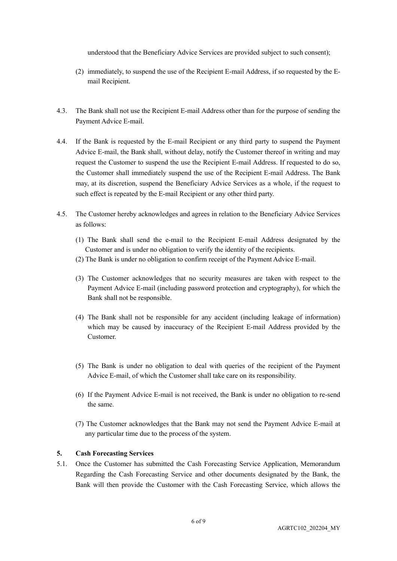understood that the Beneficiary Advice Services are provided subject to such consent);

- (2) immediately, to suspend the use of the Recipient E-mail Address, if so requested by the Email Recipient.
- 4.3. The Bank shall not use the Recipient E-mail Address other than for the purpose of sending the Payment Advice E-mail.
- 4.4. If the Bank is requested by the E-mail Recipient or any third party to suspend the Payment Advice E-mail, the Bank shall, without delay, notify the Customer thereof in writing and may request the Customer to suspend the use the Recipient E-mail Address. If requested to do so, the Customer shall immediately suspend the use of the Recipient E-mail Address. The Bank may, at its discretion, suspend the Beneficiary Advice Services as a whole, if the request to such effect is repeated by the E-mail Recipient or any other third party.
- 4.5. The Customer hereby acknowledges and agrees in relation to the Beneficiary Advice Services as follows:
	- (1) The Bank shall send the e-mail to the Recipient E-mail Address designated by the Customer and is under no obligation to verify the identity of the recipients.
	- (2) The Bank is under no obligation to confirm receipt of the Payment Advice E-mail.
	- (3) The Customer acknowledges that no security measures are taken with respect to the Payment Advice E-mail (including password protection and cryptography), for which the Bank shall not be responsible.
	- (4) The Bank shall not be responsible for any accident (including leakage of information) which may be caused by inaccuracy of the Recipient E-mail Address provided by the Customer.
	- (5) The Bank is under no obligation to deal with queries of the recipient of the Payment Advice E-mail, of which the Customer shall take care on its responsibility.
	- (6) If the Payment Advice E-mail is not received, the Bank is under no obligation to re-send the same.
	- (7) The Customer acknowledges that the Bank may not send the Payment Advice E-mail at any particular time due to the process of the system.

#### **5. Cash Forecasting Services**

5.1. Once the Customer has submitted the Cash Forecasting Service Application, Memorandum Regarding the Cash Forecasting Service and other documents designated by the Bank, the Bank will then provide the Customer with the Cash Forecasting Service, which allows the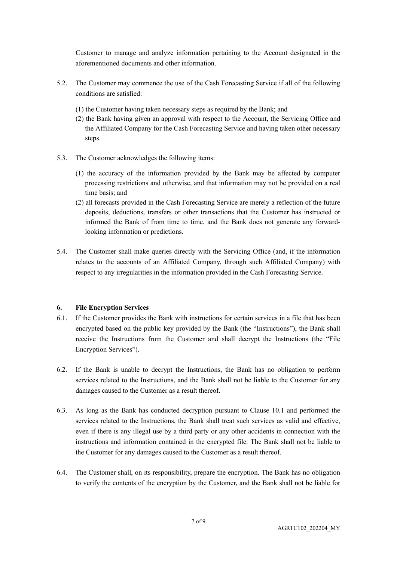Customer to manage and analyze information pertaining to the Account designated in the aforementioned documents and other information.

- 5.2. The Customer may commence the use of the Cash Forecasting Service if all of the following conditions are satisfied:
	- (1) the Customer having taken necessary steps as required by the Bank; and
	- (2) the Bank having given an approval with respect to the Account, the Servicing Office and the Affiliated Company for the Cash Forecasting Service and having taken other necessary steps.
- 5.3. The Customer acknowledges the following items:
	- (1) the accuracy of the information provided by the Bank may be affected by computer processing restrictions and otherwise, and that information may not be provided on a real time basis; and
	- (2) all forecasts provided in the Cash Forecasting Service are merely a reflection of the future deposits, deductions, transfers or other transactions that the Customer has instructed or informed the Bank of from time to time, and the Bank does not generate any forwardlooking information or predictions.
- 5.4. The Customer shall make queries directly with the Servicing Office (and, if the information relates to the accounts of an Affiliated Company, through such Affiliated Company) with respect to any irregularities in the information provided in the Cash Forecasting Service.

#### **6. File Encryption Services**

- 6.1. If the Customer provides the Bank with instructions for certain services in a file that has been encrypted based on the public key provided by the Bank (the "Instructions"), the Bank shall receive the Instructions from the Customer and shall decrypt the Instructions (the "File Encryption Services").
- 6.2. If the Bank is unable to decrypt the Instructions, the Bank has no obligation to perform services related to the Instructions, and the Bank shall not be liable to the Customer for any damages caused to the Customer as a result thereof.
- 6.3. As long as the Bank has conducted decryption pursuant to Clause 10.1 and performed the services related to the Instructions, the Bank shall treat such services as valid and effective, even if there is any illegal use by a third party or any other accidents in connection with the instructions and information contained in the encrypted file. The Bank shall not be liable to the Customer for any damages caused to the Customer as a result thereof.
- 6.4. The Customer shall, on its responsibility, prepare the encryption. The Bank has no obligation to verify the contents of the encryption by the Customer, and the Bank shall not be liable for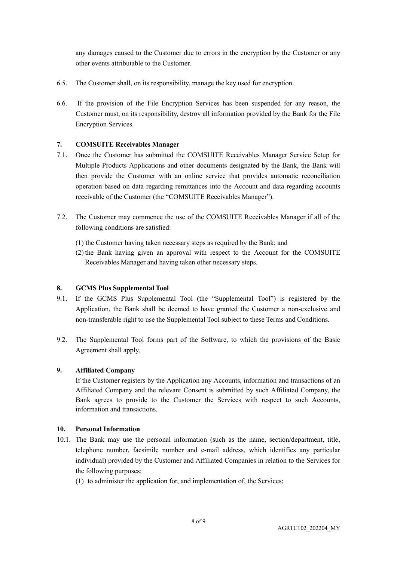any damages caused to the Customer due to errors in the encryption by the Customer or any other events attributable to the Customer.

- 6.5. The Customer shall, on its responsibility, manage the key used for encryption.
- 6.6. If the provision of the File Encryption Services has been suspended for any reason, the Customer must, on its responsibility, destroy all information provided by the Bank for the File Encryption Services.

### **7. COMSUITE Receivables Manager**

- 7.1. Once the Customer has submitted the COMSUITE Receivables Manager Service Setup for Multiple Products Applications and other documents designated by the Bank, the Bank will then provide the Customer with an online service that provides automatic reconciliation operation based on data regarding remittances into the Account and data regarding accounts receivable of the Customer (the "COMSUITE Receivables Manager").
- 7.2. The Customer may commence the use of the COMSUITE Receivables Manager if all of the following conditions are satisfied:
	- (1) the Customer having taken necessary steps as required by the Bank; and
	- (2) the Bank having given an approval with respect to the Account for the COMSUITE Receivables Manager and having taken other necessary steps.

#### **8. GCMS Plus Supplemental Tool**

- 9.1. If the GCMS Plus Supplemental Tool (the "Supplemental Tool") is registered by the Application, the Bank shall be deemed to have granted the Customer a non-exclusive and non-transferable right to use the Supplemental Tool subject to these Terms and Conditions.
- 9.2. The Supplemental Tool forms part of the Software, to which the provisions of the Basic Agreement shall apply.

#### **9. Affiliated Company**

If the Customer registers by the Application any Accounts, information and transactions of an Affiliated Company and the relevant Consent is submitted by such Affiliated Company, the Bank agrees to provide to the Customer the Services with respect to such Accounts, information and transactions.

### **10. Personal Information**

- 10.1. The Bank may use the personal information (such as the name, section/department, title, telephone number, facsimile number and e-mail address, which identifies any particular individual) provided by the Customer and Affiliated Companies in relation to the Services for the following purposes:
	- (1) to administer the application for, and implementation of, the Services;